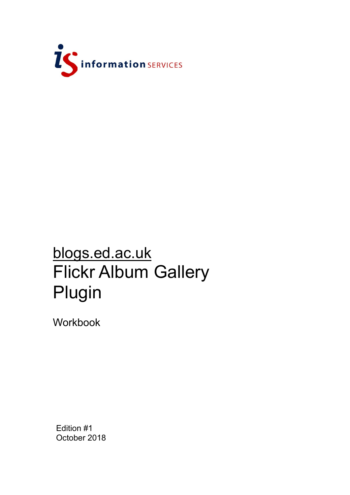

# blogs.ed.ac.uk Flickr Album Gallery Plugin

Workbook

Edition #1 October 2018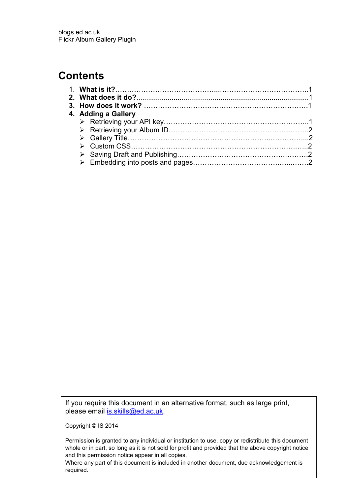## **Contents**

| 4. Adding a Gallery |  |
|---------------------|--|
|                     |  |
|                     |  |
|                     |  |
|                     |  |
|                     |  |
|                     |  |
|                     |  |

If you require this document in an alternative format, such as large print, please email [is.skills@ed.ac.uk.](mailto:is.skills@ed.ac.uk)

Copyright © IS 2014

Permission is granted to any individual or institution to use, copy or redistribute this document whole or in part, so long as it is not sold for profit and provided that the above copyright notice and this permission notice appear in all copies.

Where any part of this document is included in another document, due acknowledgement is required.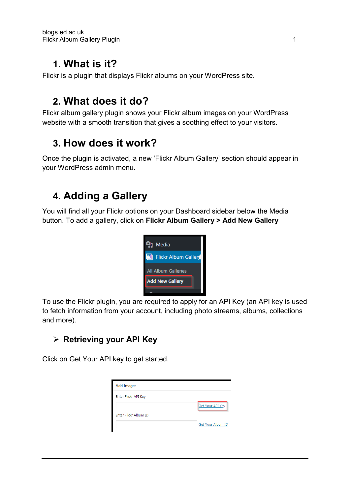## **1. What is it?**

Flickr is a plugin that displays Flickr albums on your WordPress site.

# **2. What does it do?**

Flickr album gallery plugin shows your Flickr album images on your WordPress website with a smooth transition that gives a soothing effect to your visitors.

# **3. How does it work?**

Once the plugin is activated, a new 'Flickr Album Gallery' section should appear in your WordPress admin menu.

# **4. Adding a Gallery**

You will find all your Flickr options on your Dashboard sidebar below the Media button. To add a gallery, click on **Flickr Album Gallery > Add New Gallery**



To use the Flickr plugin, you are required to apply for an API Key (an API key is used to fetch information from your account, including photo streams, albums, collections and more).

## ➢ **Retrieving your API Key**

Click on Get Your API key to get started.

| <b>Add Images</b>            |                   |
|------------------------------|-------------------|
| Enter Flickr API Key         |                   |
|                              | Get Your API Key  |
| <b>Enter Flickr Album ID</b> |                   |
|                              | Get Your Album ID |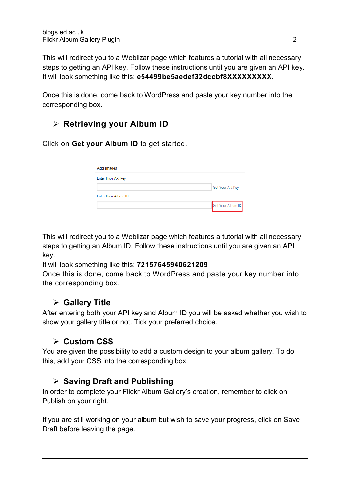This will redirect you to a Weblizar page which features a tutorial with all necessary steps to getting an API key. Follow these instructions until you are given an API key. It will look something like this: **e54499be5aedef32dccbf8XXXXXXXXX.**

Once this is done, come back to WordPress and paste your key number into the corresponding box.

## ➢ **Retrieving your Album ID**

Click on **Get your Album ID** to get started.

| <b>Add Images</b>     |                         |  |  |
|-----------------------|-------------------------|--|--|
| Enter Flickr API Key  |                         |  |  |
|                       | <b>Get Your API Key</b> |  |  |
| Enter Flickr Album ID |                         |  |  |
|                       | Get Your Album ID       |  |  |

This will redirect you to a Weblizar page which features a tutorial with all necessary steps to getting an Album ID. Follow these instructions until you are given an API key.

It will look something like this: **72157645940621209**

Once this is done, come back to WordPress and paste your key number into the corresponding box.

### ➢ **Gallery Title**

After entering both your API key and Album ID you will be asked whether you wish to show your gallery title or not. Tick your preferred choice.

### ➢ **Custom CSS**

You are given the possibility to add a custom design to your album gallery. To do this, add your CSS into the corresponding box.

### ➢ **Saving Draft and Publishing**

In order to complete your Flickr Album Gallery's creation, remember to click on Publish on your right.

If you are still working on your album but wish to save your progress, click on Save Draft before leaving the page.